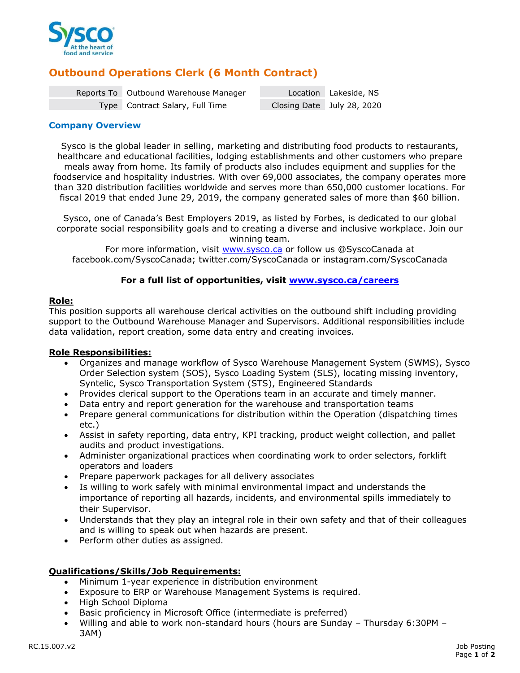

# **Outbound Operations Clerk (6 Month Contract)**

| Reports To Outbound Warehouse Manager | Location Lakeside, NS      |
|---------------------------------------|----------------------------|
| Type Contract Salary, Full Time       | Closing Date July 28, 2020 |

## **Company Overview**

Sysco is the global leader in selling, marketing and distributing food products to restaurants, healthcare and educational facilities, lodging establishments and other customers who prepare meals away from home. Its family of products also includes equipment and supplies for the foodservice and hospitality industries. With over 69,000 associates, the company operates more than 320 distribution facilities worldwide and serves more than 650,000 customer locations. For fiscal 2019 that ended June 29, 2019, the company generated sales of more than \$60 billion.

Sysco, one of Canada's Best Employers 2019, as listed by Forbes, is dedicated to our global corporate social responsibility goals and to creating a diverse and inclusive workplace. Join our winning team.

For more information, visit [www.sysco.ca](http://www.sysco.ca/) or follow us @SyscoCanada at facebook.com/SyscoCanada; twitter.com/SyscoCanada or instagram.com/SyscoCanada

## **For a full list of opportunities, visit [www.sysco.ca/careers](http://www.sysco.ca/careers)**

## **Role:**

This position supports all warehouse clerical activities on the outbound shift including providing support to the Outbound Warehouse Manager and Supervisors. Additional responsibilities include data validation, report creation, some data entry and creating invoices.

## **Role Responsibilities:**

- Organizes and manage workflow of Sysco Warehouse Management System (SWMS), Sysco Order Selection system (SOS), Sysco Loading System (SLS), locating missing inventory, Syntelic, Sysco Transportation System (STS), Engineered Standards
- Provides clerical support to the Operations team in an accurate and timely manner.
- Data entry and report generation for the warehouse and transportation teams
- Prepare general communications for distribution within the Operation (dispatching times etc.)
- Assist in safety reporting, data entry, KPI tracking, product weight collection, and pallet audits and product investigations.
- Administer organizational practices when coordinating work to order selectors, forklift operators and loaders
- Prepare paperwork packages for all delivery associates
- Is willing to work safely with minimal environmental impact and understands the importance of reporting all hazards, incidents, and environmental spills immediately to their Supervisor.
- Understands that they play an integral role in their own safety and that of their colleagues and is willing to speak out when hazards are present.
- Perform other duties as assigned.

## **Qualifications/Skills/Job Requirements:**

- Minimum 1-year experience in distribution environment
- Exposure to ERP or Warehouse Management Systems is required.
- High School Diploma
- Basic proficiency in Microsoft Office (intermediate is preferred)
- Willing and able to work non-standard hours (hours are Sunday Thursday 6:30PM 3AM)